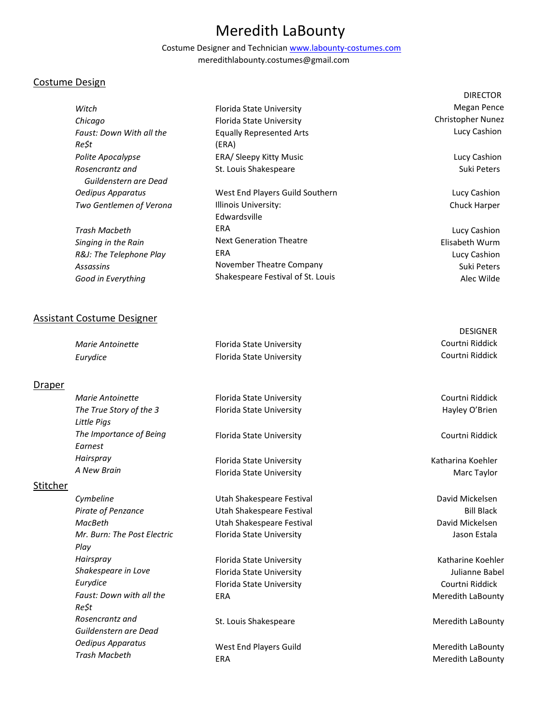# Meredith LaBounty

Costume Designer and Technician www.labounty-costumes.com meredithlabounty.costumes@gmail.com

# Costume Design

|                          |                                   | <b>DIRECTOR</b>          |
|--------------------------|-----------------------------------|--------------------------|
| Witch                    | Florida State University          | Megan Pence              |
| Chicago                  | Florida State University          | <b>Christopher Nunez</b> |
| Faust: Down With all the | <b>Equally Represented Arts</b>   | Lucy Cashion             |
| Re\$t                    | (ERA)                             |                          |
| Polite Apocalypse        | ERA/ Sleepy Kitty Music           | Lucy Cashion             |
| Rosencrantz and          | St. Louis Shakespeare             | Suki Peters              |
| Guildenstern are Dead    |                                   |                          |
| Oedipus Apparatus        | West End Players Guild Southern   | Lucy Cashion             |
| Two Gentlemen of Verona  | Illinois University:              | Chuck Harper             |
|                          | Edwardsville                      |                          |
| Trash Macbeth            | ERA                               | Lucy Cashion             |
| Singing in the Rain      | <b>Next Generation Theatre</b>    | Elisabeth Wurm           |
| R&J: The Telephone Play  | <b>ERA</b>                        | Lucy Cashion             |
| Assassins                | November Theatre Company          | Suki Peters              |
| Good in Everything       | Shakespeare Festival of St. Louis | Alec Wilde               |

## Assistant Costume Designer

| Marie Antoinette | Florida State University | Courtni Riddick |
|------------------|--------------------------|-----------------|
| Eurydice         | Florida State University | Courtni Riddick |

# **Draper**

| Marie Antoinette                       | Florida State University                             | Courtni Riddi              |
|----------------------------------------|------------------------------------------------------|----------------------------|
| The True Story of the 3<br>Little Pias | Florida State University                             | Hayley O'Bri               |
| The Importance of Being<br>Earnest     | Florida State University                             | Courtni Riddi              |
| Hairspray<br>A New Brain               | Florida State University<br>Florida State University | Katharina Koeh<br>Marc Tay |

# **Stitcher**

| Cymbeline                   | Utah Shakespeare Festival |
|-----------------------------|---------------------------|
| Pirate of Penzance          | Utah Shakespeare Festival |
| MacBeth                     | Utah Shakespeare Festival |
| Mr. Burn: The Post Electric | Florida State University  |
| Plav                        |                           |
| Hairspray                   | Florida State University  |
| Shakespeare in Love         | Florida State University  |
| Eurydice                    | Florida State University  |
| Faust: Down with all the    | ERA                       |
| Re\$t                       |                           |
| Rosencrantz and             | St. Louis Shakespeare     |
| Guildenstern are Dead       |                           |
| Oedipus Apparatus           | West End Players Guild    |
| Trash Macbeth               | <b>ERA</b>                |

Courtni Riddick

DESIGNER

ick ien

ick

ler ıylor

David Mickelsen Bill Black David Mickelsen Jason Estala

Katharine Koehler Julianne Babel Courtni Riddick Meredith LaBounty

Meredith LaBounty

Meredith LaBounty Meredith LaBounty